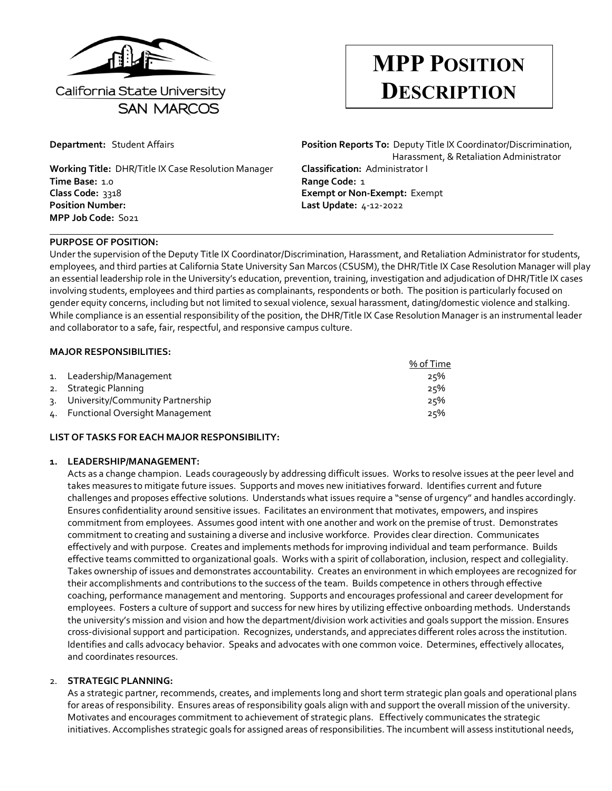

## **MPP POSITION DESCRIPTION**

**Working Title:** DHR/Title IX Case Resolution Manager **Classification:** Administrator I **Time Base:** 1.0 **Range Code:** 1 **Class Code:** 3318 **Exempt or Non-Exempt:** Exempt **Position Number: Last Update:** 4-12-2022 **MPP Job Code:** S021

# **Department:** Student Affairs **Position Reports To:** Deputy Title IX Coordinator/Discrimination, Harassment, & Retaliation Administrator

#### **PURPOSE OF POSITION:**

Under the supervision of the Deputy Title IX Coordinator/Discrimination, Harassment, and Retaliation Administrator for students, employees, and third parties at California State University San Marcos (CSUSM), the DHR/Title IX Case Resolution Manager will play an essential leadership role in the University's education, prevention, training, investigation and adjudication of DHR/Title IX cases involving students, employees and third parties as complainants, respondents or both. The position is particularly focused on gender equity concerns, including but not limited to sexual violence, sexual harassment, dating/domestic violence and stalking. While compliance is an essential responsibility of the position, the DHR/Title IX Case Resolution Manager is an instrumental leader and collaborator to a safe, fair, respectful, and responsive campus culture.

#### **MAJOR RESPONSIBILITIES:**

|                                     | % of Time |
|-------------------------------------|-----------|
| 1. Leadership/Management            | 25%       |
| 2. Strategic Planning               | 25%       |
| 3. University/Community Partnership | 25%       |
| 4. Functional Oversight Management  | 25%       |

#### **LIST OF TASKS FOR EACH MAJOR RESPONSIBILITY:**

#### **1. LEADERSHIP/MANAGEMENT:**

Acts as a change champion. Leads courageously by addressing difficult issues. Works to resolve issues at the peer level and takes measures to mitigate future issues. Supports and moves new initiatives forward. Identifies current and future challenges and proposes effective solutions. Understands what issues require a "sense of urgency" and handles accordingly. Ensures confidentiality around sensitive issues. Facilitates an environment that motivates, empowers, and inspires commitment from employees. Assumes good intent with one another and work on the premise of trust. Demonstrates commitment to creating and sustaining a diverse and inclusive workforce. Provides clear direction. Communicates effectively and with purpose. Creates and implements methods for improving individual and team performance. Builds effective teams committed to organizational goals. Works with a spirit of collaboration, inclusion, respect and collegiality. Takes ownership of issues and demonstrates accountability. Creates an environment in which employees are recognized for their accomplishments and contributions to the success of the team. Builds competence in others through effective coaching, performance management and mentoring. Supports and encourages professional and career development for employees. Fosters a culture of support and success for new hires by utilizing effective onboarding methods. Understands the university's mission and vision and how the department/division work activities and goals support the mission. Ensures cross-divisional support and participation. Recognizes, understands, and appreciates different roles across the institution. Identifies and calls advocacy behavior. Speaks and advocates with one common voice. Determines, effectively allocates, and coordinates resources.

#### 2. **STRATEGIC PLANNING:**

As a strategic partner, recommends, creates, and implements long and short term strategic plan goals and operational plans for areas of responsibility. Ensures areas of responsibility goals align with and support the overall mission of the university. Motivates and encourages commitment to achievement of strategic plans. Effectively communicates the strategic initiatives. Accomplishes strategic goals for assigned areas of responsibilities. The incumbent will assess institutional needs,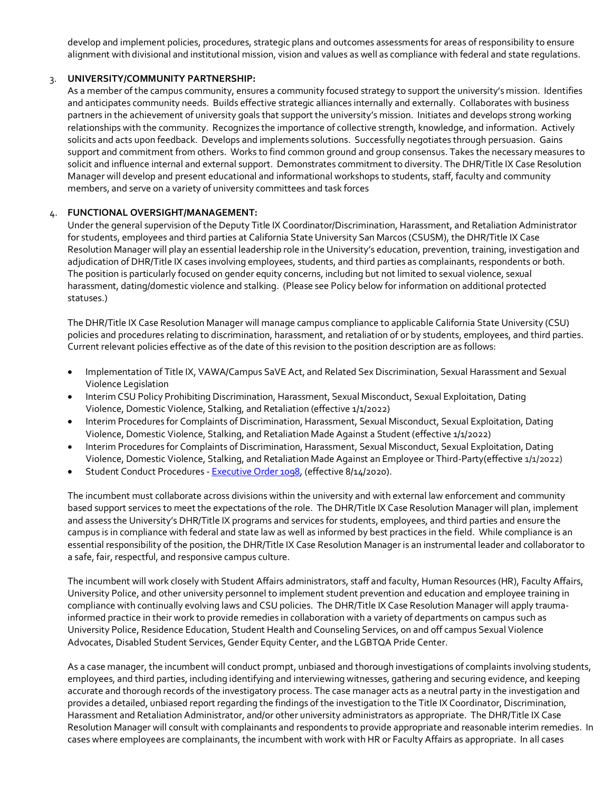develop and implement policies, procedures, strategic plans and outcomes assessments for areas of responsibility to ensure alignment with divisional and institutional mission, vision and values as well as compliance with federal and state regulations.

#### 3. **UNIVERSITY/COMMUNITY PARTNERSHIP:**

As a member of the campus community, ensures a community focused strategy to support the university's mission. Identifies and anticipates community needs. Builds effective strategic alliances internally and externally. Collaborates with business partners in the achievement of university goals that support the university's mission. Initiates and develops strong working relationships with the community. Recognizes the importance of collective strength, knowledge, and information. Actively solicits and acts upon feedback. Develops and implements solutions. Successfully negotiates through persuasion. Gains support and commitment from others. Works to find common ground and group consensus. Takes the necessary measures to solicit and influence internal and external support. Demonstrates commitment to diversity. The DHR/Title IX Case Resolution Manager will develop and present educational and informational workshops to students, staff, faculty and community members, and serve on a variety of university committees and task forces

#### 4. **FUNCTIONAL OVERSIGHT/MANAGEMENT:**

Under the general supervision of the Deputy Title IX Coordinator/Discrimination, Harassment, and Retaliation Administrator for students, employees and third parties at California State University San Marcos (CSUSM), the DHR/Title IX Case Resolution Manager will play an essential leadership role in the University's education, prevention, training, investigation and adjudication of DHR/Title IX cases involving employees, students, and third parties as complainants, respondents or both. The position is particularly focused on gender equity concerns, including but not limited to sexual violence, sexual harassment, dating/domestic violence and stalking. (Please see Policy below for information on additional protected statuses.)

The DHR/Title IX Case Resolution Manager will manage campus compliance to applicable California State University (CSU) policies and procedures relating to discrimination, harassment, and retaliation of or by students, employees, and third parties. Current relevant policies effective as of the date of this revision to the position description are as follows:

- Implementation of Title IX, VAWA/Campus SaVE Act, and Related Sex Discrimination, Sexual Harassment and Sexual Violence Legislation
- [Interim CSU Policy Prohibiting Discrimination, Harassment, Sexual Misconduct, Sexual Exploitation, Dating](https://calstate.policystat.com/policy/10926024/latest/)  [Violence, Domestic Violence, Stalking, and Retaliation](https://calstate.policystat.com/policy/10926024/latest/) (effective 1/1/2022)
- [Interim Procedures for Complaints of Discrimination, Harassment, Sexual Misconduct, Sexual Exploitation, Dating](https://calstate.policystat.com/policy/10926024/latest/#autoid-56krv)  [Violence, Domestic Violence, Stalking, and Retaliation Made Against a Student](https://calstate.policystat.com/policy/10926024/latest/#autoid-56krv) (effective 1/1/2022)
- [Interim Procedures for Complaints of Discrimination, Harassment, Sexual Misconduct, Sexual Exploitation, Dating](https://calstate.policystat.com/policy/10926024/latest/#autoid-j378k)  [Violence, Domestic Violence, Stalking, and Retaliation Made Against an Employee or Third-Party\(](https://calstate.policystat.com/policy/10926024/latest/#autoid-j378k)effective 1/1/2022)
- Student Conduct Procedures - [Executive Order 1098,](https://www.csusm.edu/dos/documents/eo_1098_systemwide_student_conduct.pdf) (effective 8/14/2020).

The incumbent must collaborate across divisions within the university and with external law enforcement and community based support services to meet the expectations of the role. The DHR/Title IX Case Resolution Manager will plan, implement and assess the University's DHR/Title IX programs and services for students, employees, and third parties and ensure the campus is in compliance with federal and state law as well as informed by best practices in the field. While compliance is an essential responsibility of the position, the DHR/Title IX Case Resolution Manager is an instrumental leader and collaborator to a safe, fair, respectful, and responsive campus culture.

The incumbent will work closely with Student Affairs administrators, staff and faculty, Human Resources (HR), Faculty Affairs, University Police, and other university personnel to implement student prevention and education and employee training in compliance with continually evolving laws and CSU policies. The DHR/Title IX Case Resolution Manager will apply traumainformed practice in their work to provide remedies in collaboration with a variety of departments on campus such as University Police, Residence Education, Student Health and Counseling Services, on and off campus Sexual Violence Advocates, Disabled Student Services, Gender Equity Center, and the LGBTQA Pride Center.

As a case manager, the incumbent will conduct prompt, unbiased and thorough investigations of complaints involving students, employees, and third parties, including identifying and interviewing witnesses, gathering and securing evidence, and keeping accurate and thorough records of the investigatory process. The case manager acts as a neutral party in the investigation and provides a detailed, unbiased report regarding the findings of the investigation to the Title IX Coordinator, Discrimination, Harassment and Retaliation Administrator, and/or other university administrators as appropriate. The DHR/Title IX Case Resolution Manager will consult with complainants and respondents to provide appropriate and reasonable interim remedies. In cases where employees are complainants, the incumbent with work with HR or Faculty Affairs as appropriate. In all cases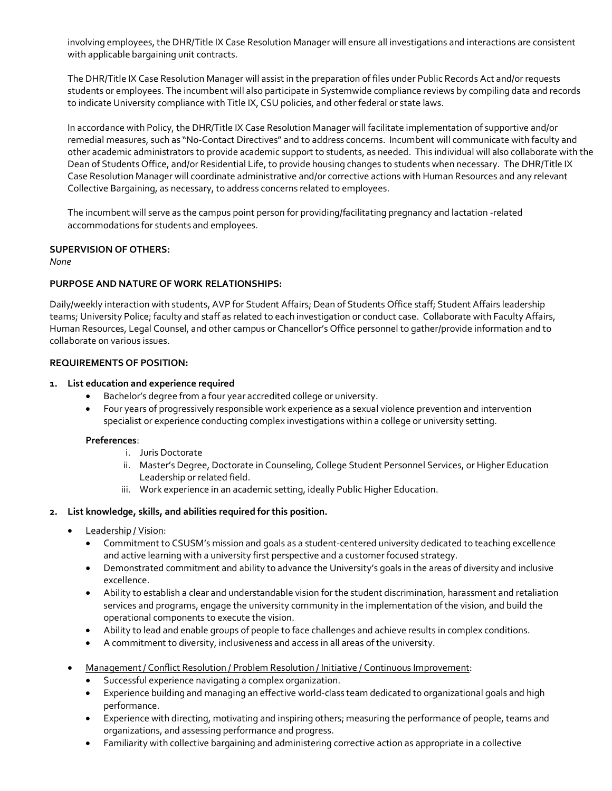involving employees, the DHR/Title IX Case Resolution Manager will ensure all investigations and interactions are consistent with applicable bargaining unit contracts.

The DHR/Title IX Case Resolution Manager will assist in the preparation of files under Public Records Act and/or requests students or employees. The incumbent will also participate in Systemwide compliance reviews by compiling data and records to indicate University compliance with Title IX, CSU policies, and other federal or state laws.

In accordance with Policy, the DHR/Title IX Case Resolution Manager will facilitate implementation of supportive and/or remedial measures, such as "No-Contact Directives" and to address concerns. Incumbent will communicate with faculty and other academic administrators to provide academic support to students, as needed. This individual will also collaborate with the Dean of Students Office, and/or Residential Life, to provide housing changes to students when necessary. The DHR/Title IX Case Resolution Manager will coordinate administrative and/or corrective actions with Human Resources and any relevant Collective Bargaining, as necessary, to address concerns related to employees.

The incumbent will serve as the campus point person for providing/facilitating pregnancy and lactation -related accommodations for students and employees.

#### **SUPERVISION OF OTHERS:**

*None*

#### **PURPOSE AND NATURE OF WORK RELATIONSHIPS:**

Daily/weekly interaction with students, AVP for Student Affairs; Dean of Students Office staff; Student Affairs leadership teams; University Police; faculty and staff as related to each investigation or conduct case. Collaborate with Faculty Affairs, Human Resources, Legal Counsel, and other campus or Chancellor's Office personnel to gather/provide information and to collaborate on various issues.

#### **REQUIREMENTS OF POSITION:**

#### **1. List education and experience required**

- Bachelor's degree from a four year accredited college or university.
- Four years of progressively responsible work experience as a sexual violence prevention and intervention specialist or experience conducting complex investigations within a college or university setting.

#### **Preferences**:

- i. Juris Doctorate
- ii. Master's Degree, Doctorate in Counseling, College Student Personnel Services, or Higher Education Leadership or related field.
- iii. Work experience in an academic setting, ideally Public Higher Education.

#### **2. List knowledge, skills, and abilities required for this position.**

- Leadership / Vision:
	- Commitment to CSUSM's mission and goals as a student-centered university dedicated to teaching excellence and active learning with a university first perspective and a customer focused strategy.
	- Demonstrated commitment and ability to advance the University's goals in the areas of diversity and inclusive excellence.
	- Ability to establish a clear and understandable vision for the student discrimination, harassment and retaliation services and programs, engage the university community in the implementation of the vision, and build the operational components to execute the vision.
	- Ability to lead and enable groups of people to face challenges and achieve results in complex conditions.
	- A commitment to diversity, inclusiveness and access in all areas of the university.
- Management / Conflict Resolution / Problem Resolution / Initiative / Continuous Improvement:
	- Successful experience navigating a complex organization.
	- Experience building and managing an effective world-class team dedicated to organizational goals and high performance.
	- Experience with directing, motivating and inspiring others; measuring the performance of people, teams and organizations, and assessing performance and progress.
	- Familiarity with collective bargaining and administering corrective action as appropriate in a collective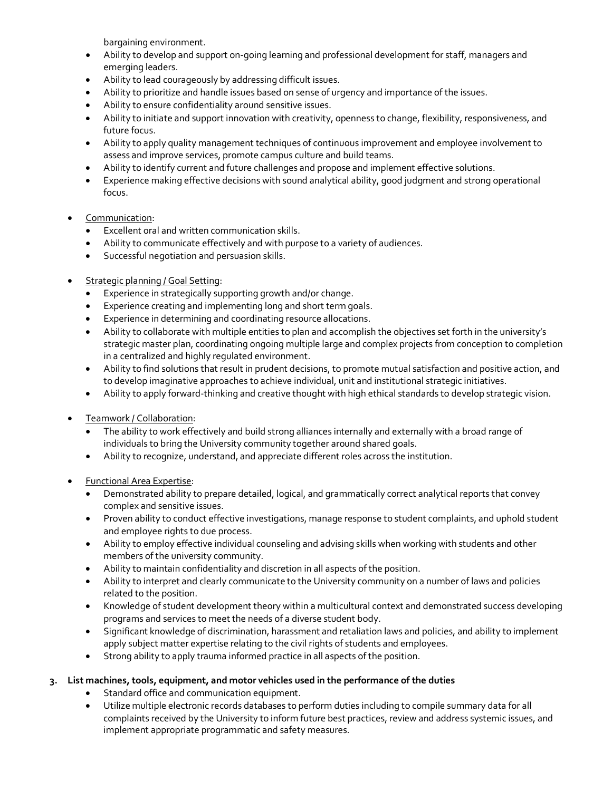bargaining environment.

- Ability to develop and support on-going learning and professional development for staff, managers and emerging leaders.
- Ability to lead courageously by addressing difficult issues.
- Ability to prioritize and handle issues based on sense of urgency and importance of the issues.
- Ability to ensure confidentiality around sensitive issues.
- Ability to initiate and support innovation with creativity, openness to change, flexibility, responsiveness, and future focus.
- Ability to apply quality management techniques of continuous improvement and employee involvement to assess and improve services, promote campus culture and build teams.
- Ability to identify current and future challenges and propose and implement effective solutions.
- Experience making effective decisions with sound analytical ability, good judgment and strong operational focus.
- Communication:
	- Excellent oral and written communication skills.
	- Ability to communicate effectively and with purpose to a variety of audiences.
	- Successful negotiation and persuasion skills.
- Strategic planning / Goal Setting:
	- Experience in strategically supporting growth and/or change.
	- Experience creating and implementing long and short term goals.
	- Experience in determining and coordinating resource allocations.
	- Ability to collaborate with multiple entities to plan and accomplish the objectives set forth in the university's strategic master plan, coordinating ongoing multiple large and complex projects from conception to completion in a centralized and highly regulated environment.
	- Ability to find solutions that result in prudent decisions, to promote mutual satisfaction and positive action, and to develop imaginative approaches to achieve individual, unit and institutional strategic initiatives.
	- Ability to apply forward-thinking and creative thought with high ethical standards to develop strategic vision.
- Teamwork / Collaboration:
	- The ability to work effectively and build strong alliances internally and externally with a broad range of individuals to bring the University community together around shared goals.
	- Ability to recognize, understand, and appreciate different roles across the institution.
- Functional Area Expertise:
	- Demonstrated ability to prepare detailed, logical, and grammatically correct analytical reports that convey complex and sensitive issues.
	- Proven ability to conduct effective investigations, manage response to student complaints, and uphold student and employee rights to due process.
	- Ability to employ effective individual counseling and advising skills when working with students and other members of the university community.
	- Ability to maintain confidentiality and discretion in all aspects of the position.
	- Ability to interpret and clearly communicate to the University community on a number of laws and policies related to the position.
	- Knowledge of student development theory within a multicultural context and demonstrated success developing programs and services to meet the needs of a diverse student body.
	- Significant knowledge of discrimination, harassment and retaliation laws and policies, and ability to implement apply subject matter expertise relating to the civil rights of students and employees.
	- Strong ability to apply trauma informed practice in all aspects of the position.
- **3. List machines, tools, equipment, and motor vehicles used in the performance of the duties**
	- Standard office and communication equipment.
	- Utilize multiple electronic records databases to perform duties including to compile summary data for all complaints received by the University to inform future best practices, review and address systemic issues, and implement appropriate programmatic and safety measures.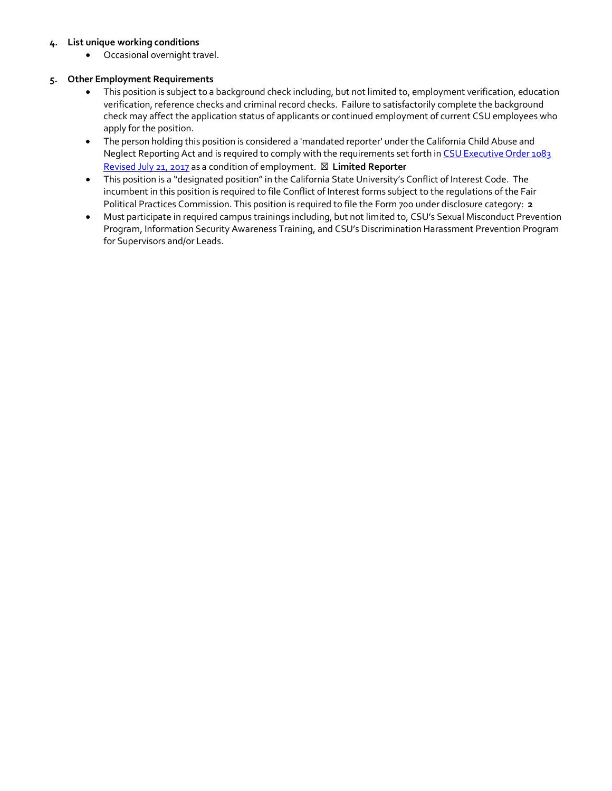#### **4. List unique working conditions**

• Occasional overnight travel.

#### **5. Other Employment Requirements**

- This position is subject to a background check including, but not limited to, employment verification, education verification, reference checks and criminal record checks. Failure to satisfactorily complete the background check may affect the application status of applicants or continued employment of current CSU employees who apply for the position.
- The person holding this position is considered a 'mandated reporter' under the California Child Abuse and Neglect Reporting Act and is required to comply with the requirements set forth in CSU Executive Order 1083 [Revised July 21, 2017](https://csusm.sharepoint.com/sites/office_of_human_resources_internal/hr_services/classification_compensation/Position%20Description/Position%20Description%20Templates/Requirements%20Reference%20Documents/CANRA%20Mandated%20Reporters%20List.pdf?csf=1&e=bfbqV1) as a condition of employment. ☒ **Limited Reporter**
- This position is a "designated position" in the California State University's Conflict of Interest Code. The incumbent in this position is required to file Conflict of Interest forms subject to the regulations of the Fair Political Practices Commission. This position is required to file the Form 700 under disclosure category: **2**
- Must participate in required campus trainings including, but not limited to, CSU's Sexual Misconduct Prevention Program, Information Security Awareness Training, and CSU's Discrimination Harassment Prevention Program for Supervisors and/or Leads.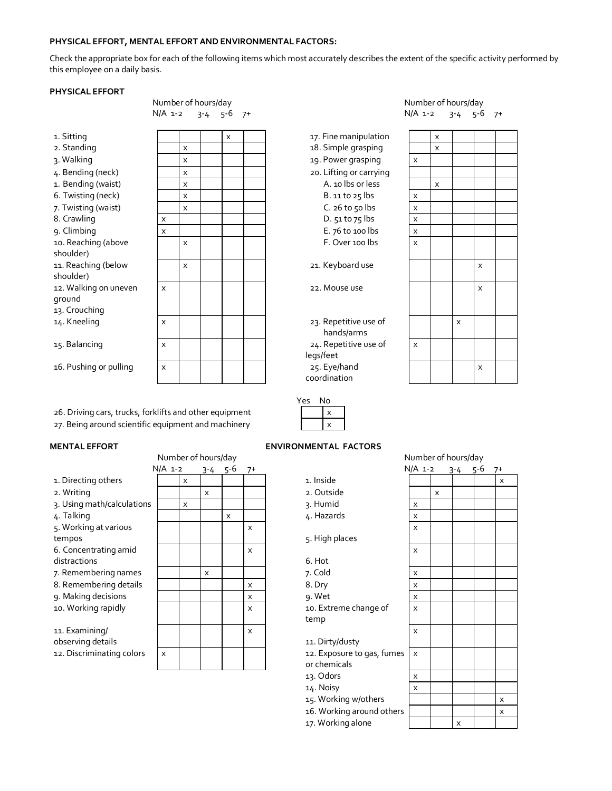#### **PHYSICAL EFFORT, MENTAL EFFORT AND ENVIRONMENTAL FACTORS:**

Check the appropriate box for each of the following items which most accurately describes the extent of the specific activity performed by this employee on a daily basis.

#### **PHYSICAL EFFORT**

Number of hours/day Number of hours/day N/A 1-2 3-4 5-6 7+ N/A 1-2 3-4 5-6 7+

| 1. Sitting              |   |   | x |  |
|-------------------------|---|---|---|--|
| 2. Standing             |   | x |   |  |
| 3. Walking              |   | X |   |  |
| 4. Bending (neck)       |   | X |   |  |
| 1. Bending (waist)      |   | x |   |  |
| 6. Twisting (neck)      |   | X |   |  |
| 7. Twisting (waist)     |   | X |   |  |
| 8. Crawling             | x |   |   |  |
| 9. Climbing             | x |   |   |  |
| 10. Reaching (above     |   | x |   |  |
| shoulder)               |   |   |   |  |
| 11. Reaching (below     |   | x |   |  |
| shoulder)               |   |   |   |  |
| 12. Walking on uneven   | X |   |   |  |
| ground<br>13. Crouching |   |   |   |  |
|                         |   |   |   |  |
| 14. Kneeling            | X |   |   |  |
| 15. Balancing           | x |   |   |  |
|                         |   |   |   |  |
| 16. Pushing or pulling  | X |   |   |  |
|                         |   |   |   |  |

26. Driving cars, trucks, forklifts and other equipment 27. Being around scientific equipment and machinery

|                            |           | Number of hours/day       |          |                 |                           |                            |                           | Number of hours/day |                 |  |       |
|----------------------------|-----------|---------------------------|----------|-----------------|---------------------------|----------------------------|---------------------------|---------------------|-----------------|--|-------|
|                            | $N/A$ 1-2 |                           |          | $3 - 4$ $5 - 6$ | $7+$                      |                            | $N/A$ 1-2                 |                     | $3 - 4$ $5 - 6$ |  | $7^+$ |
| 1. Directing others        |           | X                         |          |                 |                           | 1. Inside                  |                           |                     |                 |  | X     |
| 2. Writing                 |           |                           | $\times$ |                 |                           | 2. Outside                 |                           | $\times$            |                 |  |       |
| 3. Using math/calculations |           | $\boldsymbol{\mathsf{x}}$ |          |                 |                           | 3. Humid                   | $\times$                  |                     |                 |  |       |
| 4. Talking                 |           |                           |          | X               |                           | 4. Hazards                 | $\times$                  |                     |                 |  |       |
| 5. Working at various      |           |                           |          |                 | $\mathsf{x}$              |                            | $\boldsymbol{\mathsf{x}}$ |                     |                 |  |       |
| tempos                     |           |                           |          |                 |                           | 5. High places             |                           |                     |                 |  |       |
| 6. Concentrating amid      |           |                           |          |                 | $\mathsf{x}$              |                            | $\boldsymbol{\mathsf{x}}$ |                     |                 |  |       |
| distractions               |           |                           |          |                 |                           | 6. Hot                     |                           |                     |                 |  |       |
| 7. Remembering names       |           |                           | $\times$ |                 |                           | 7. Cold                    | X                         |                     |                 |  |       |
| 8. Remembering details     |           |                           |          |                 | X                         | 8. Dry                     | X                         |                     |                 |  |       |
| 9. Making decisions        |           |                           |          |                 | X                         | 9. Wet                     | X                         |                     |                 |  |       |
| 10. Working rapidly        |           |                           |          |                 | X                         | 10. Extreme change of      | X                         |                     |                 |  |       |
|                            |           |                           |          |                 |                           | temp                       |                           |                     |                 |  |       |
| 11. Examining/             |           |                           |          |                 | $\boldsymbol{\mathsf{x}}$ |                            | $\times$                  |                     |                 |  |       |
| observing details          |           |                           |          |                 |                           | 11. Dirty/dusty            |                           |                     |                 |  |       |
| 12. Discriminating colors  | X         |                           |          |                 |                           | 12. Exposure to gas, fumes | $\boldsymbol{\mathsf{x}}$ |                     |                 |  |       |
|                            |           |                           |          |                 |                           | or chemicals               |                           |                     |                 |  |       |
|                            |           |                           |          |                 |                           | $\sim$ $\blacksquare$      |                           |                     |                 |  |       |

|                     |   |                 |   |          | Eľ |
|---------------------|---|-----------------|---|----------|----|
| Number of hours/day |   |                 |   |          |    |
| $N/A$ 1-2           |   | $3 - 4$ $5 - 6$ |   | $7^+$    |    |
|                     | X |                 |   |          |    |
|                     |   | X               |   |          |    |
|                     | X |                 |   |          |    |
|                     |   |                 | X |          |    |
|                     |   |                 |   | X        |    |
|                     |   |                 |   | X        |    |
|                     |   | X               |   |          |    |
|                     |   |                 |   | X        |    |
|                     |   |                 |   | X        |    |
|                     |   |                 |   | $\times$ |    |
|                     |   |                 |   | X        |    |
| X                   |   |                 |   |          |    |
|                     |   |                 |   |          |    |

### 17. Fine manipulation 18. Simple grasping 19. Power grasping 20. Lifting or carrying A. 10 lbs or less  $B.$  11 to 25 lbs  $C.$  26 to 50 lbs D. 51 to 75 lbs E. 76 to 100 lbs F. Over 100 lbs 21. Keyboard use 22. Mouse use

23. Repetitive use of hands/arms 24. Repetitive use of legs/feet 25. Eye/hand coordination

|                         | X        |   |              |  |
|-------------------------|----------|---|--------------|--|
|                         | $\times$ |   |              |  |
| $\mathsf{x}$            |          |   |              |  |
|                         |          |   |              |  |
|                         | X        |   |              |  |
| $\overline{\mathsf{x}}$ |          |   |              |  |
| $\overline{\mathbf{x}}$ |          |   |              |  |
| $\overline{\mathsf{x}}$ |          |   |              |  |
| $\overline{\mathsf{x}}$ |          |   |              |  |
| $\overline{\mathsf{x}}$ |          |   |              |  |
|                         |          |   |              |  |
|                         |          |   | $\mathsf{x}$ |  |
|                         |          |   |              |  |
|                         |          |   | $\mathsf{x}$ |  |
|                         |          |   |              |  |
|                         |          |   |              |  |
|                         |          | X |              |  |
|                         |          |   |              |  |
| $\mathsf{x}$            |          |   |              |  |
|                         |          |   | $\mathsf{x}$ |  |
|                         |          |   |              |  |

| es | ١o |
|----|----|
|    |    |
|    |    |

#### **MENTAL EFFORT ENVIRONMENTAL FACTORS**

N/A 1-2 3-4 5-6 7+ N/A 1-2 3-4 5-6 7+ 3. Humid 4. Hazards 5. High places x 6. Hot x 10. Extreme change of temp x 11. Dirty/dusty x 12. Exposure to gas, full or chemicals x 13. Odors 14. Noisy 15. Working w/others 16. Working around otl 17. Working alone

#### Number of hours/day

| V/A 1-2 |  |  |
|---------|--|--|
|         |  |  |

|                                 | $\sqrt{1}$              |   | <u>ے د</u> | ͻ<br>Ÿ | , ,                     |
|---------------------------------|-------------------------|---|------------|--------|-------------------------|
|                                 |                         |   |            |        | $\times$                |
|                                 |                         | X |            |        |                         |
|                                 | $\overline{\mathsf{x}}$ |   |            |        |                         |
|                                 | $\overline{\mathsf{x}}$ |   |            |        |                         |
|                                 | $\mathsf{x}$            |   |            |        |                         |
|                                 |                         |   |            |        |                         |
|                                 | $\times$                |   |            |        |                         |
|                                 | X                       |   |            |        |                         |
|                                 | $\overline{\mathsf{x}}$ |   |            |        |                         |
|                                 | $\overline{\mathsf{x}}$ |   |            |        |                         |
| ֦֧֢֦֧֦֧֦֧֦֧֦֧֦֧֦֧֦֧֦֧֦֧֦֧֦֧֡֝֬֝ | $\mathsf{x}$            |   |            |        |                         |
|                                 |                         |   |            |        |                         |
|                                 | $\times$                |   |            |        |                         |
|                                 |                         |   |            |        |                         |
| mes                             | $\mathsf{x}$            |   |            |        |                         |
|                                 |                         |   |            |        |                         |
|                                 | $\overline{\mathsf{X}}$ |   |            |        |                         |
|                                 | $\mathsf{x}$            |   |            |        |                         |
|                                 |                         |   |            |        | X                       |
| hers                            |                         |   |            |        | $\overline{\mathsf{x}}$ |
|                                 |                         |   | X          |        |                         |